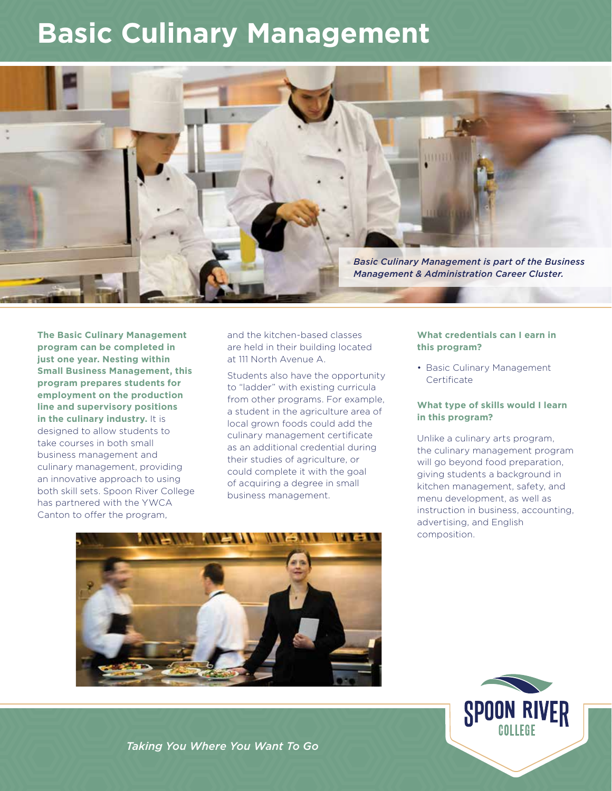## **Basic Culinary Management**



**The Basic Culinary Management program can be completed in just one year. Nesting within Small Business Management, this program prepares students for employment on the production line and supervisory positions in the culinary industry.** It is designed to allow students to take courses in both small business management and culinary management, providing an innovative approach to using both skill sets. Spoon River College has partnered with the YWCA Canton to offer the program,

and the kitchen-based classes are held in their building located at 111 North Avenue A.

Students also have the opportunity to "ladder" with existing curricula from other programs. For example, a student in the agriculture area of local grown foods could add the culinary management certificate as an additional credential during their studies of agriculture, or could complete it with the goal of acquiring a degree in small business management.



• Basic Culinary Management **Certificate** 

#### **What type of skills would I learn in this program?**

Unlike a culinary arts program, the culinary management program will go beyond food preparation, giving students a background in kitchen management, safety, and menu development, as well as instruction in business, accounting, advertising, and English composition.





*Taking You Where You Want To Go*